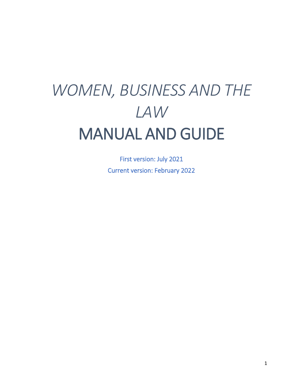# *WOMEN, BUSINESS AND THE LAW* MANUAL AND GUIDE

First version: July 2021 Current version: February 2022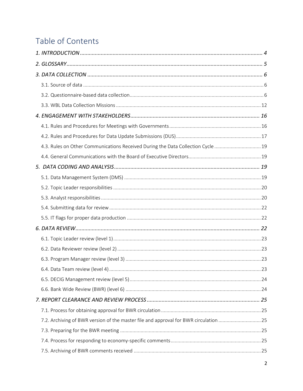# Table of Contents

| 4.3. Rules on Other Communications Received During the Data Collection Cycle  19     |  |
|--------------------------------------------------------------------------------------|--|
|                                                                                      |  |
|                                                                                      |  |
|                                                                                      |  |
|                                                                                      |  |
|                                                                                      |  |
|                                                                                      |  |
|                                                                                      |  |
|                                                                                      |  |
|                                                                                      |  |
|                                                                                      |  |
|                                                                                      |  |
|                                                                                      |  |
|                                                                                      |  |
|                                                                                      |  |
|                                                                                      |  |
|                                                                                      |  |
| 7.2. Archiving of BWR version of the master file and approval for BWR circulation 25 |  |
|                                                                                      |  |
|                                                                                      |  |
|                                                                                      |  |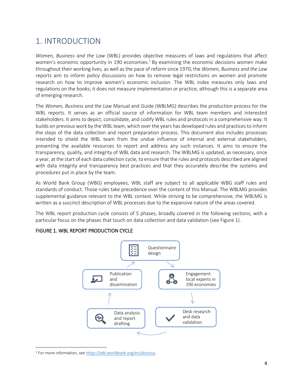# <span id="page-3-0"></span>1. INTRODUCTION

*Women, Business and the Law* (WBL) provides objective measures of laws and regulations that affect women's economic opportunity in 190 economies.<sup>1</sup> By examining the economic decisions women make throughout their working lives, as well as the pace of reform since 1970, the *Women, Business and the Law* reports aim to inform policy discussions on how to remove legal restrictions on women and promote research on how to improve women's economic inclusion. The WBL index measures only laws and regulations on the books; it does not measure implementation or practice, although this is a separate area of emerging research.

The *Women, Business and the Law* Manual and Guide (WBLMG) describes the production process for the WBL reports. It serves as an official source of information for WBL team members and interested stakeholders. It aims to depict, consolidate, and codify WBL rules and protocols in a comprehensive way. It builds on previous work by the WBL team, which over the years has developed rules and practices to inform the steps of the data collection and report preparation process. This document also includes processes intended to shield the WBL team from the undue influence of internal and external stakeholders, presenting the available resources to report and address any such instances. It aims to ensure the transparency, quality, and integrity of WBL data and research. The WBLMG is updated, as necessary, once a year, at the start of each data collection cycle, to ensure that the rules and protocols described are aligned with data integrity and transparency best practices and that they accurately describe the systems and procedures put in place by the team.

As World Bank Group (WBG) employees, WBL staff are subject to all applicable WBG staff rules and standards of conduct. Those rules take precedence over the content of this Manual. The WBLMG provides supplemental guidance relevant to the WBL context. While striving to be comprehensive, the WBLMG is written as a succinct description of WBL processes due to the expansive nature of the areas covered.

The WBL report production cycle consists of 5 phases, broadly covered in the following sections, with a particular focus on the phases that touch on data collection and data validation (see Figure 1).



### FIGURE 1. WBL REPORT PRODUCTION CYCLE

<sup>1</sup> For more information, see [https://wbl.worldbank.org/en/aboutus.](https://wbl.worldbank.org/en/aboutus)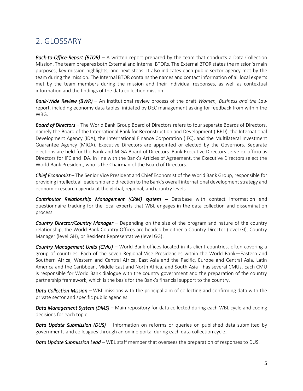# <span id="page-4-0"></span>2. GLOSSARY

*Back-to-Office-Report (BTOR) –* A written report prepared by the team that conducts a Data Collection Mission. The team prepares both External and Internal BTORs. The External BTOR states the mission's main purposes, key mission highlights, and next steps. It also indicates each public sector agency met by the team during the mission. The Internal BTOR contains the names and contact information of all local experts met by the team members during the mission and their individual responses, as well as contextual information and the findings of the data collection mission.

*Bank-Wide Review (BWR) –* An institutional review process of the draft *Women, Business and the Law* report, including economy data tables, initiated by DEC management asking for feedback from within the WBG.

*Board of Directors –* The World Bank Group Board of Directors refers to four separate Boards of Directors, namely the Board of the International Bank for Reconstruction and Development (IBRD), the International Development Agency (IDA), the International Finance Corporation (IFC), and the Multilateral Investment Guarantee Agency (MIGA). Executive Directors are appointed or elected by the Governors. Separate elections are held for the Bank and MIGA Board of Directors. Bank Executive Directors serve ex-officio as Directors for IFC and IDA. In line with the Bank's Articles of Agreement, the Executive Directors select the World Bank President, who is the Chairman of the Board of Directors.

*Chief Economist –* The Senior Vice President and Chief Economist of the World Bank Group, responsible for providing intellectual leadership and direction to the Bank's overall international development strategy and economic research agenda at the global, regional, and country levels.

**Contributor Relationship Management (CRM) system –** Database with contact information and questionnaire tracking for the local experts that WBL engages in the data collection and dissemination process.

*Country Director/Country Manager –* Depending on the size of the program and nature of the country relationship, the World Bank Country Offices are headed by either a Country Director (level GI), Country Manager (level GH), or Resident Representative (level GG).

*Country Management Units (CMU) –* World Bank offices located in its client countries, often covering a group of countries. Each of the seven Regional Vice Presidencies within the World Bank—Eastern and Southern Africa, Western and Central Africa, East Asia and the Pacific, Europe and Central Asia, Latin America and the Caribbean, Middle East and North Africa, and South Asia—has several CMUs. Each CMU is responsible for World Bank dialogue with the country government and the preparation of the country partnership framework, which is the basis for the Bank's financial support to the country.

*Data Collection Mission –* WBL missions with the principal aim of collecting and confirming data with the private sector and specific public agencies.

*Data Management System (DMS) –* Main repository for data collected during each WBL cycle and coding decisions for each topic.

*Data Update Submission (DUS) –* Information on reforms or queries on published data submitted by governments and colleagues through an online portal during each data collection cycle.

*Data Update Submission Lead –* WBL staff member that oversees the preparation of responses to DUS.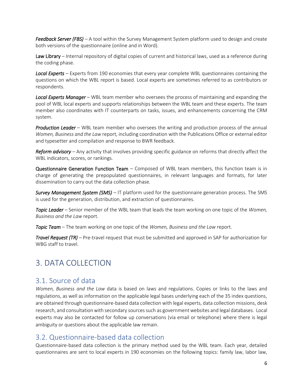*Feedback Server (FBS) –* A tool within the Survey Management System platform used to design and create both versions of the questionnaire (online and in Word).

Law Library – Internal repository of digital copies of current and historical laws, used as a reference during the coding phase.

*Local Experts* – Experts from 190 economies that every year complete WBL questionnaires containing the questions on which the WBL report is based. Local experts are sometimes referred to as contributors or respondents.

*Local Experts Manager* – WBL team member who oversees the process of maintaining and expanding the pool of WBL local experts and supports relationships between the WBL team and these experts. The team member also coordinates with IT counterparts on tasks, issues, and enhancements concerning the CRM system.

*Production Leader* – WBL team member who oversees the writing and production process of the annual *Women, Business and the Law* report, including coordination with the Publications Office or external editor and typesetter and compilation and response to BWR feedback.

*Reform advisory –* Any activity that involves providing specific guidance on reforms that directly affect the WBL indicators, scores, or rankings*.*

Questionnaire Generation Function Team – Composed of WBL team members, this function team is in charge of generating the prepopulated questionnaires, in relevant languages and formats, for later dissemination to carry out the data collection phase.

*Survey Management System (SMS) –* IT platform used for the questionnaire generation process. The SMS is used for the generation, distribution, and extraction of questionnaires.

*Topic Leader –* Senior member of the WBL team that leads the team working on one topic of the *Women, Business and the Law* report.

*Topic Team –* The team working on one topic of the *Women, Business and the Law* report.

*Travel Request (TR) –* Pre-travel request that must be submitted and approved in SAP for authorization for WBG staff to travel

# <span id="page-5-0"></span>3. DATA COLLECTION

### <span id="page-5-1"></span>3.1. Source of data

*Women, Business and the Law* data is based on laws and regulations. Copies or links to the laws and regulations, as well as information on the applicable legal bases underlying each of the 35 index questions, are obtained through questionnaire-based data collection with legal experts, data collection missions, desk research, and consultation with secondary sources such as government websites and legal databases. Local experts may also be contacted for follow up conversations (via email or telephone) where there is legal ambiguity or questions about the applicable law remain.

# <span id="page-5-2"></span>3.2. Questionnaire-based data collection

Questionnaire-based data collection is the primary method used by the WBL team. Each year, detailed questionnaires are sent to local experts in 190 economies on the following topics: family law, labor law,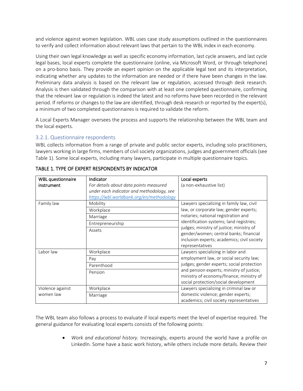and violence against women legislation. WBL uses case study assumptions outlined in the questionnaires to verify and collect information about relevant laws that pertain to the WBL index in each economy.

Using their own legal knowledge as well as specific economy information, last cycle answers, and last cycle legal bases, local experts complete the questionnaire (online, via Microsoft Word, or through telephone) on a pro-bono basis. They provide an expert opinion on the applicable legal text and its interpretation, indicating whether any updates to the information are needed or if there have been changes in the law. Preliminary data analysis is based on the relevant law or regulation, accessed through desk research. Analysis is then validated through the comparison with at least one completed questionnaire, confirming that the relevant law or regulation is indeed the latest and no reforms have been recorded in the relevant period. If reforms or changes to the law are identified, through desk research or reported by the expert(s), a minimum of two completed questionnaires is required to validate the reform.

A Local Experts Manager oversees the process and supports the relationship between the WBL team and the local experts.

### 3.2.1. Questionnaire respondents

WBL collects information from a range of private and public sector experts, including solo practitioners, lawyers working in large firms, members of civil society organizations, judges and government officials (see Table 1). Some local experts, including many lawyers, participate in multiple questionnaire topics.

| <b>WBL</b> questionnaire<br>instrument | Indicator<br>For details about data points measured<br>under each indicator and methodology, see            | Local experts<br>(a non-exhaustive list)                                                                                                                                                                                                                                                                                       |
|----------------------------------------|-------------------------------------------------------------------------------------------------------------|--------------------------------------------------------------------------------------------------------------------------------------------------------------------------------------------------------------------------------------------------------------------------------------------------------------------------------|
| Family law                             | https://wbl.worldbank.org/en/methodology<br>Mobility<br>Workplace<br>Marriage<br>Entrepreneurship<br>Assets | Lawyers specializing in family law, civil<br>law, or corporate law; gender experts;<br>notaries; national registration and<br>identification systems; land registries;<br>judges; ministry of justice; ministry of<br>gender/women; central banks; financial<br>inclusion experts; academics; civil society<br>representatives |
| Labor law                              | Workplace<br>Pay<br>Parenthood<br>Pension                                                                   | Lawyers specializing in labor and<br>employment law, or social security law;<br>judges; gender experts; social protection<br>and pension experts; ministry of justice;<br>ministry of economy/finance; ministry of<br>social protection/social development                                                                     |
| Violence against<br>women law          | Workplace<br>Marriage                                                                                       | Lawyers specializing in criminal law or<br>domestic violence; gender experts;<br>academics; civil society representatives                                                                                                                                                                                                      |

### TABLE 1. TYPE OF EXPERT RESPONDENTS BY INDICATOR

The WBL team also follows a process to evaluate if local experts meet the level of expertise required. The general guidance for evaluating local experts consists of the following points:

> • *Work and educational history.* Increasingly, experts around the world have a profile on LinkedIn. Some have a basic work history, while others include more details. Review their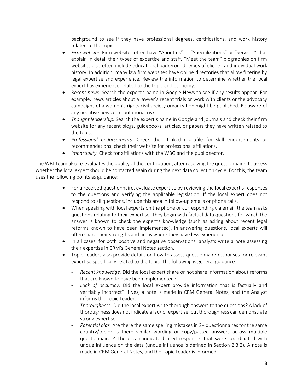background to see if they have professional degrees, certifications, and work history related to the topic.

- *Firm website*. Firm websites often have "About us" or "Specializations" or "Services" that explain in detail their types of expertise and staff. "Meet the team" biographies on firm websites also often include educational background, types of clients, and individual work history. In addition, many law firm websites have online directories that allow filtering by legal expertise and experience. Review the information to determine whether the local expert has experience related to the topic and economy.
- *Recent news.* Search the expert's name in Google News to see if any results appear. For example, news articles about a lawyer's recent trials or work with clients or the advocacy campaigns of a women's rights civil society organization might be published. Be aware of any negative news or reputational risks.
- *Thought leadership.* Search the expert's name in Google and journals and check their firm website for any recent blogs, guidebooks, articles, or papers they have written related to the topic.
- *Professional endorsements.* Check their LinkedIn profile for skill endorsements or recommendations; check their website for professional affiliations.
- *Impartiality.* Check for affiliations with the WBG and the public sector.

The WBL team also re-evaluates the quality of the contribution, after receiving the questionnaire, to assess whether the local expert should be contacted again during the next data collection cycle. For this, the team uses the following points as guidance:

- For a received questionnaire, evaluate expertise by reviewing the local expert's responses to the questions and verifying the applicable legislation. If the local expert does not respond to all questions, include this area in follow-up emails or phone calls.
- When speaking with local experts on the phone or corresponding via email, the team asks questions relating to their expertise. They begin with factual data questions for which the answer is known to check the expert's knowledge (such as asking about recent legal reforms known to have been implemented). In answering questions, local experts will often share their strengths and areas where they have less experience.
- In all cases, for both positive and negative observations, analysts write a note assessing their expertise in CRM's General Notes section.
- Topic Leaders also provide details on how to assess questionnaire responses for relevant expertise specifically related to the topic. The following is general guidance:
	- *Recent knowledge.* Did the local expert share or not share information about reforms that are known to have been implemented?
	- Lack of accuracy. Did the local expert provide information that is factually and verifiably incorrect? If yes, a note is made in CRM General Notes, and the Analyst informs the Topic Leader.
	- *Thoroughness.* Did the local expert write thorough answers to the questions? A lack of thoroughness does not indicate a lack of expertise, but thoroughness can demonstrate strong expertise.
	- Potential bias. Are there the same spelling mistakes in 2+ questionnaires for the same country/topic? Is there similar wording or copy/pasted answers across multiple questionnaires? These can indicate biased responses that were coordinated with undue influence on the data (undue influence is defined in Section 2.3.2). A note is made in CRM General Notes, and the Topic Leader is informed.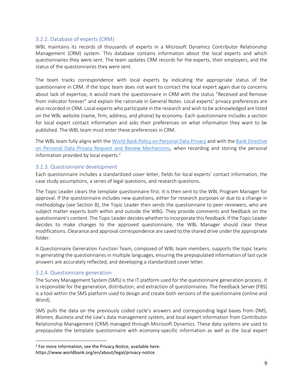### 3.2.2. Database of experts (CRM)

WBL maintains its records of thousands of experts in a Microsoft Dynamics Contributor Relationship Management (CRM) system. This database contains information about the local experts and which questionnaires they were sent. The team updates CRM records for the experts, their employers, and the status of the questionnaires they were sent.

The team tracks correspondence with local experts by indicating the appropriate status of the questionnaire in CRM. If the topic team does not want to contact the local expert again due to concerns about lack of expertise, it would mark the questionnaire in CRM with the status "Received and Remove from indicator forever" and explain the rationale in General Notes. Local experts' privacy preferences are also recorded in CRM. Local experts who participate in the research and wish to be acknowledged are listed on the WBL website (name, firm, address, and phone) by economy. Each questionnaire includes a section for local expert contact information and asks their preferences on what information they want to be published. The WBL team must enter these preferences in CRM.

The WBL team fully aligns with the [World Bank Policy on Personal Data Privacy](https://thedocs.worldbank.org/en/doc/943057e81239587a70c5a6bc39532728-0240012021/original/ca36fdc451914d89a49d6189a98bad86.pdf) and with the Bank Directive [on Personal Data Privacy Request and Review Mechanisms,](https://thedocs.worldbank.org/en/doc/e4fd645661e262698d9dbe8905ec5fbd-0240012021/original/94f0dd39c88740e096b76f88e46da80c.pdf) when recording and storing the personal information provided by local experts. $2$ 

### 3.2.3. Questionnaire development

Each questionnaire includes a standardized cover letter, fields for local experts' contact information, the case study assumptions, a series of legal questions, and research questions.

The Topic Leader clears the template questionnaire first. It is then sent to the WBL Program Manager for approval. If the questionnaire includes new questions, either for research purposes or due to a change in methodology (see Section 8), the Topic Leader then sends the questionnaire to peer reviewers, who are subject matter experts both within and outside the WBG. They provide comments and feedback on the questionnaire's content. The Topic Leader decides whether to incorporate this feedback. If the Topic Leader decides to make changes to the approved questionnaire, the WBL Manager should clear these modifications. Clearance and approval correspondence are saved to the shared drive under the appropriate folder.

A Questionnaire Generation Function Team, composed of WBL team members, supports the topic teams in generating the questionnaires in multiple languages, ensuring the prepopulated information of last cycle answers are accurately reflected, and developing a standardized cover letter.

### 3.2.4. Questionnaire generation

The Survey Management System (SMS) is the IT platform used for the questionnaire generation process. It is responsible for the generation, distribution, and extraction of questionnaires. The Feedback Server (FBS) is a tool within the SMS platform used to design and create both versions of the questionnaire (online and Word).

SMS pulls the data on the previously coded cycle's answers and corresponding legal bases from DMS, *Women, Business and the Law*'s data management system, and local expert information from Contributor Relationship Management (CRM) managed through Microsoft Dynamics. These data systems are used to prepopulate the template questionnaire with economy-specific information as well as the local expert

<sup>&</sup>lt;sup>2</sup> For more information, see the Privacy Notice, available here:

https://www.worldbank.org/en/about/legal/privacy-notice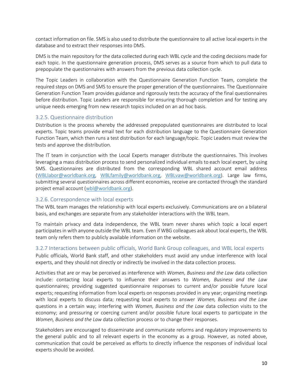contact information on file. SMS is also used to distribute the questionnaire to all active local experts in the database and to extract their responses into DMS.

DMS is the main repository for the data collected during each WBL cycle and the coding decisions made for each topic. In the questionnaire generation process, DMS serves as a source from which to pull data to prepopulate the questionnaires with answers from the previous data collection cycle.

The Topic Leaders in collaboration with the Questionnaire Generation Function Team, complete the required steps on DMS and SMS to ensure the proper generation of the questionnaires. The Questionnaire Generation Function Team provides guidance and rigorously tests the accuracy of the final questionnaires before distribution. Topic Leaders are responsible for ensuring thorough completion and for testing any unique needs emerging from new research topics included on an ad hoc basis.

### 3.2.5. Questionnaire distribution

Distribution is the process whereby the addressed prepopulated questionnaires are distributed to local experts. Topic teams provide email text for each distribution language to the Questionnaire Generation Function Team, which then runs a test distribution for each language/topic. Topic Leaders must review the tests and approve the distribution.

The IT team in conjunction with the Local Experts manager distribute the questionnaires. This involves leveraging a mass distribution process to send personalized individual emails to each local expert, by using SMS. Questionnaires are distributed from the corresponding WBL shared account email address [\(WBLlabor@worldbank.org,](mailto:WBLlabor@worldbank.org) [WBLfamily@worldbank.org,](mailto:WBLfamily@worldbank.org) [WBLvaw@worldbank.org\)](mailto:WBLvaw@worldbank.org). Large law firms, submitting several questionnaires across different economies, receive are contacted through the standard project email account [\(wbl@worldbank.org\)](mailto:wbl@worldbank.org).

### 3.2.6. Correspondence with local experts

The WBL team manages the relationship with local experts exclusively. Communications are on a bilateral basis, and exchanges are separate from any stakeholder interactions with the WBL team.

To maintain privacy and data independence, the WBL team never shares which topic a local expert participates in with anyone outside the WBL team. Even if WBG colleagues ask about local experts, the WBL team only refers them to publicly available information on the website.

### 3.2.7 Interactions between public officials, World Bank Group colleagues, and WBL local experts

Public officials, World Bank staff, and other stakeholders must avoid any undue interference with local experts, and they should not directly or indirectly be involved in the data collection process.

Activities that are or may be perceived as interference with *Women, Business and the Law* data collection include: contacting local experts to influence their answers to *Women, Business and the Law*  questionnaires; providing suggested questionnaire responses to current and/or possible future local experts; requesting information from local experts on responses provided in any year; organizing meetings with local experts to discuss data; requesting local experts to answer *Women, Business and the Law*  questions in a certain way; interfering with *Women, Business and the Law* data collection visits to the economy; and pressuring or coercing current and/or possible future local experts to participate in the *Women, Business and the Law* data collection process or to change their responses.

Stakeholders are encouraged to disseminate and communicate reforms and regulatory improvements to the general public and to all relevant experts in the economy as a group. However, as noted above, communication that could be perceived as efforts to directly influence the responses of individual local experts should be avoided.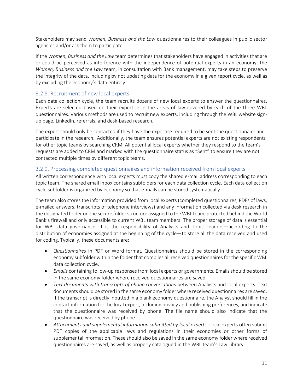Stakeholders may send *Women, Business and the Law* questionnaires to their colleagues in public sector agencies and/or ask them to participate.

If the *Women, Business and the Law* team determines that stakeholders have engaged in activities that are or could be perceived as interference with the independence of potential experts in an economy, the *Women, Business and the Law* team, in consultation with Bank management, may take steps to preserve the integrity of the data, including by not updating data for the economy in a given report cycle, as well as by excluding the economy's data entirely.

### 3.2.8. Recruitment of new local experts

Each data collection cycle, the team recruits dozens of new local experts to answer the questionnaires. Experts are selected based on their expertise in the areas of law covered by each of the three WBL questionnaires. Various methods are used to recruit new experts, including through the WBL website signup page, LinkedIn, referrals, and desk-based research.

The expert should only be contacted if they have the expertise required to be sent the questionnaire and participate in the research. Additionally, the team ensures potential experts are not existing respondents for other topic teams by searching CRM. All potential local experts whether they respond to the team's requests are added to CRM and marked with the questionnaire status as "Sent" to ensure they are not contacted multiple times by different topic teams.

### 3.2.9. Processing completed questionnaires and information received from local experts

All written correspondence with local experts must copy the shared e-mail address corresponding to each topic team. The shared email inbox contains subfolders for each data collection cycle. Each data collection cycle subfolder is organized by economy so that e-mails can be stored systematically.

The team also stores the information provided from local experts(completed questionnaires, PDFs of laws, e-mailed answers, transcripts of telephone interviews) and any information collected via desk research in the designated folder on the secure folder structure assigned to the WBL team, protected behind the World Bank's firewall and only accessible to current WBL team members. The proper storage of data is essential for WBL data governance. It is the responsibility of Analysts and Topic Leaders—according to the distribution of economies assigned at the beginning of the cycle—to store all the data received and used for coding. Typically, these documents are:

- *Questionnaires* in PDF or Word format*.* Questionnaires should be stored in the corresponding economy subfolder within the folder that compiles all received questionnaires for the specific WBL data collection cycle.
- *Emails* containing follow-up responses from local experts or governments. Emails should be stored in the same economy folder where received questionnaires are saved.
- *Text documents with transcripts of phone conversations* between Analysts and local experts. Text documents should be stored in the same economy folder where received questionnaires are saved. If the transcript is directly inputted in a blank economy questionnaire, the Analyst should fill in the contact information for the local expert, including privacy and publishing preferences, and indicate that the questionnaire was received by phone. The file name should also indicate that the questionnaire was received by phone.
- *Attachments and supplemental information submitted by local experts*. Local experts often submit PDF copies of the applicable laws and regulations in their economies or other forms of supplemental information. These should also be saved in the same economy folder where received questionnaires are saved, as well as properly catalogued in the WBL team's Law Library.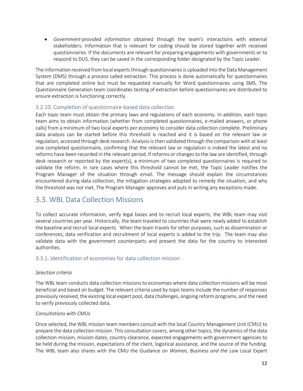• *Government-provided information* obtained through the team's interactions with external stakeholders. Information that is relevant for coding should be stored together with received questionnaires. If the documents are relevant for preparing engagements with governments or to respond to DUS, they can be saved in the corresponding folder designated by the Topic Leader.

The information received from local experts through questionnaires is uploaded into the Data Management System (DMS) through a process called extraction. This process is done automatically for questionnaires that are completed online but must be requested manually for Word questionnaires using SMS. The Questionnaire Generation team coordinates testing of extraction before questionnaires are distributed to ensure extraction is functioning correctly.

### 3.2.10. Completion of questionnaire-based data collection

Each topic team must obtain the primary laws and regulations of each economy. In addition, each topic team aims to obtain information (whether from completed questionnaires, e-mailed answers, or phone calls) from a minimum of two local experts per economy to consider data collection complete. Preliminary data analysis can be started before this threshold is reached and it is based on the relevant law or regulation, accessed through desk research. Analysis is then validated through the comparison with at least one completed questionnaire, confirming that the relevant law or regulation is indeed the latest and no reforms have been recorded in the relevant period. If reforms or changes to the law are identified, through desk research or reported by the expert(s), a minimum of two completed questionnaires is required to validate the reform. In rare cases where this threshold cannot be met, the Topic Leader notifies the Program Manager of the situation through email. The message should explain the circumstances encountered during data collection, the mitigation strategies adopted to remedy the situation, and why the threshold was not met. The Program Manager approves and puts in writing any exceptions made.

### <span id="page-11-0"></span>3.3. WBL Data Collection Missions

To collect accurate information, verify legal bases and to recruit local experts, the WBL team may visit several countries per year. Historically, the team traveled to countries that were newly added to establish the baseline and recruit local experts. When the team travels for other purposes, such as dissemination or conferences, data verification and recruitment of local experts is added to the trip. The team may also validate data with the government counterparts and present the data for the country to interested authorities.

### 3.3.1. Identification of economies for data collection mission

### *Selection criteria*

The WBL team conducts data collection missions to economies where data collection missions will be most beneficial and based on budget. The relevant criteria used by topic teams include the number of responses previously received, the existing local expert pool, data challenges, ongoing reform programs, and the need to verify previously collected data.

### *Consultations with CMUs*

Once selected, the WBL mission team members consult with the local Country Management Unit (CMU) to prepare the data collection mission. This consultation covers, among other topics, the dynamics of the data collection mission, mission dates, country clearance, expected engagements with government agencies to be held during the mission, expectations of the client, logistical assistance, and the source of the funding. The WBL team also shares with the CMU the Guidance on *Women, Business and the Law* Local Expert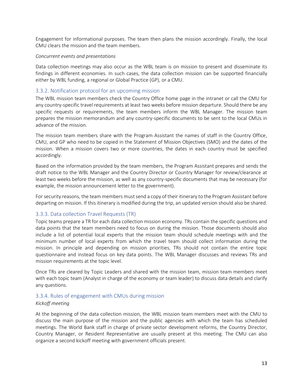Engagement for informational purposes. The team then plans the mission accordingly. Finally, the local CMU clears the mission and the team members.

#### *Concurrent events and presentations*

Data collection meetings may also occur as the WBL team is on mission to present and disseminate its findings in different economies. In such cases, the data collection mission can be supported financially either by WBL funding, a regional or Global Practice (GP), or a CMU.

### 3.3.2. Notification protocol for an upcoming mission

The WBL mission team members check the Country Office home page in the intranet or call the CMU for any country-specific travel requirements at least two weeks before mission departure. Should there be any specific requests or requirements, the team members inform the WBL Manager. The mission team prepares the mission memorandum and any country-specific documents to be sent to the local CMUs in advance of the mission.

The mission team members share with the Program Assistant the names of staff in the Country Office, CMU, and GP who need to be copied in the Statement of Mission Objectives (SMO) and the dates of the mission. When a mission covers two or more countries, the dates in each country must be specified accordingly.

Based on the information provided by the team members, the Program Assistant prepares and sends the draft notice to the WBL Manager and the Country Director or Country Manager for review/clearance at least two weeks before the mission, as well as any country-specific documents that may be necessary (for example, the mission announcement letter to the government).

For security reasons, the team members must send a copy of their itinerary to the Program Assistant before departing on mission. If this itinerary is modified during the trip, an updated version should also be shared.

### 3.3.3. Data collection Travel Requests (TR)

Topic teams prepare a TR for each data collection mission economy. TRs contain the specific questions and data points that the team members need to focus on during the mission. Those documents should also include a list of potential local experts that the mission team should schedule meetings with and the minimum number of local experts from which the travel team should collect information during the mission. In principle and depending on mission priorities, TRs should not contain the entire topic questionnaire and instead focus on key data points. The WBL Manager discusses and reviews TRs and mission requirements at the topic level.

Once TRs are cleared by Topic Leaders and shared with the mission team, mission team members meet with each topic team (Analyst in charge of the economy or team leader) to discuss data details and clarify any questions.

### 3.3.4. Rules of engagement with CMUs during mission

### *Kickoff meeting*

At the beginning of the data collection mission, the WBL mission team members meet with the CMU to discuss the main purpose of the mission and the public agencies with which the team has scheduled meetings. The World Bank staff in charge of private sector development reforms, the Country Director, Country Manager, or Resident Representative are usually present at this meeting. The CMU can also organize a second kickoff meeting with government officials present.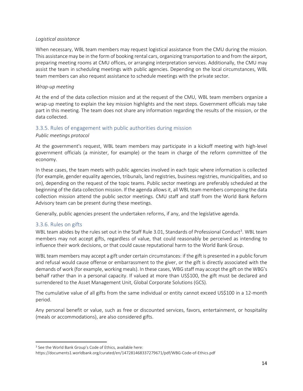#### *Logistical assistance*

When necessary, WBL team members may request logistical assistance from the CMU during the mission. This assistance may be in the form of booking rental cars, organizing transportation to and from the airport, preparing meeting rooms at CMU offices, or arranging interpretation services. Additionally, the CMU may assist the team in scheduling meetings with public agencies. Depending on the local circumstances, WBL team members can also request assistance to schedule meetings with the private sector.

### *Wrap-up meeting*

At the end of the data collection mission and at the request of the CMU, WBL team members organize a wrap-up meeting to explain the key mission highlights and the next steps. Government officials may take part in this meeting. The team does not share any information regarding the results of the mission, or the data collected.

### 3.3.5. Rules of engagement with public authorities during mission

### *Public meetings protocol*

At the government's request, WBL team members may participate in a kickoff meeting with high-level government officials (a minister, for example) or the team in charge of the reform committee of the economy.

In these cases, the team meets with public agencies involved in each topic where information is collected (for example, gender equality agencies, tribunals, land registries, business registries, municipalities, and so on), depending on the request of the topic teams. Public sector meetings are preferably scheduled at the beginning of the data collection mission. If the agenda allows it, all WBL team members composing the data collection mission attend the public sector meetings. CMU staff and staff from the World Bank Reform Advisory team can be present during these meetings.

Generally, public agencies present the undertaken reforms, if any, and the legislative agenda.

### 3.3.6. Rules on gifts

WBL team abides by the rules set out in the Staff Rule 3.01, Standards of Professional Conduct<sup>3</sup>. WBL team members may not accept gifts, regardless of value, that could reasonably be perceived as intending to influence their work decisions, or that could cause reputational harm to the World Bank Group.

WBL team members may accept a gift under certain circumstances: if the gift is presented in a public forum and refusal would cause offense or embarrassment to the giver, or the gift is directly associated with the demands of work (for example, working meals). In these cases, WBG staff may accept the gift on the WBG's behalf rather than in a personal capacity. If valued at more than US\$100, the gift must be declared and surrendered to the Asset Management Unit, Global Corporate Solutions (GCS).

The cumulative value of all gifts from the same individual or entity cannot exceed US\$100 in a 12-month period.

Any personal benefit or value, such as free or discounted services, favors, entertainment, or hospitality (meals or accommodations), are also considered gifts.

<sup>&</sup>lt;sup>3</sup> See the World Bank Group's Code of Ethics, available here:

https://documents1.worldbank.org/curated/en/147281468337279671/pdf/WBG-Code-of-Ethics.pdf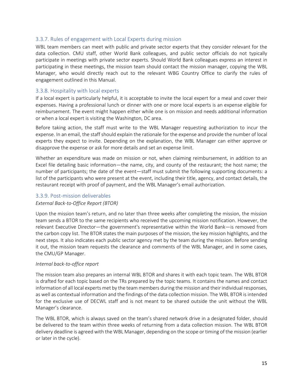### 3.3.7. Rules of engagement with Local Experts during mission

WBL team members can meet with public and private sector experts that they consider relevant for the data collection. CMU staff, other World Bank colleagues, and public sector officials do not typically participate in meetings with private sector experts. Should World Bank colleagues express an interest in participating in these meetings, the mission team should contact the mission manager, copying the WBL Manager, who would directly reach out to the relevant WBG Country Office to clarify the rules of engagement outlined in this Manual.

### 3.3.8. Hospitality with local experts

If a local expert is particularly helpful, it is acceptable to invite the local expert for a meal and cover their expenses. Having a professional lunch or dinner with one or more local experts is an expense eligible for reimbursement. The event might happen either while one is on mission and needs additional information or when a local expert is visiting the Washington, DC area.

Before taking action, the staff must write to the WBL Manager requesting authorization to incur the expense. In an email, the staff should explain the rationale for the expense and provide the number of local experts they expect to invite. Depending on the explanation, the WBL Manager can either approve or disapprove the expense or ask for more details and set an expense limit.

Whether an expenditure was made on mission or not, when claiming reimbursement, in addition to an Excel file detailing basic information—the name, city, and county of the restaurant; the host name; the number of participants; the date of the event—staff must submit the following supporting documents: a list of the participants who were present at the event, including their title, agency, and contact details, the restaurant receipt with proof of payment, and the WBL Manager's email authorization.

### 3.3.9. Post-mission deliverables

### *External Back-to-Office Report (BTOR)*

Upon the mission team's return, and no later than three weeks after completing the mission, the mission team sends a BTOR to the same recipients who received the upcoming mission notification. However, the relevant Executive Director—the government's representative within the World Bank—is removed from the carbon copy list. The BTOR states the main purposes of the mission, the key mission highlights, and the next steps. It also indicates each public sector agency met by the team during the mission. Before sending it out, the mission team requests the clearance and comments of the WBL Manager, and in some cases, the CMU/GP Manager.

### *Internal back-to-office report*

The mission team also prepares an internal WBL BTOR and shares it with each topic team. The WBL BTOR is drafted for each topic based on the TRs prepared by the topic teams. It contains the names and contact information of all local experts met by the team members during the mission and their individual responses, as well as contextual information and the findings of the data collection mission. The WBL BTOR is intended for the exclusive use of DECWL staff and is not meant to be shared outside the unit without the WBL Manager's clearance.

The WBL BTOR, which is always saved on the team's shared network drive in a designated folder, should be delivered to the team within three weeks of returning from a data collection mission. The WBL BTOR delivery deadline is agreed with the WBL Manager, depending on the scope or timing of the mission (earlier or later in the cycle).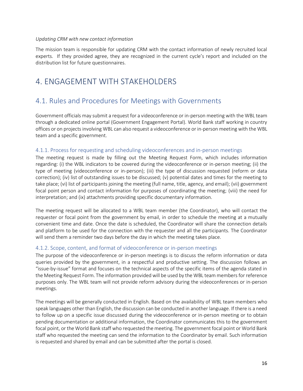#### *Updating CRM with new contact information*

The mission team is responsible for updating CRM with the contact information of newly recruited local experts. If they provided agree, they are recognized in the current cycle's report and included on the distribution list for future questionnaires.

# <span id="page-15-0"></span>4. ENGAGEMENT WITH STAKEHOLDERS

# <span id="page-15-1"></span>4.1. Rules and Procedures for Meetings with Governments

Government officials may submit a request for a videoconference or in-person meeting with the WBL team through a dedicated online portal (Government Engagement Portal). World Bank staff working in country offices or on projects involving WBL can also request a videoconference or in-person meeting with the WBL team and a specific government.

### 4.1.1. Process for requesting and scheduling videoconferences and in-person meetings

The meeting request is made by filling out the Meeting Request Form, which includes information regarding: (i) the WBL indicators to be covered during the videoconference or in-person meeting; (ii) the type of meeting (videoconference or in-person); (iii) the type of discussion requested (reform or data correction); (iv) list of outstanding issues to be discussed; (v) potential dates and times for the meeting to take place; (vi) list of participants joining the meeting (full name, title, agency, and email); (vii) government focal point person and contact information for purposes of coordinating the meeting; (viii) the need for interpretation; and (ix) attachments providing specific documentary information.

The meeting request will be allocated to a WBL team member (the Coordinator), who will contact the requester or focal point from the government by email, in order to schedule the meeting at a mutually convenient time and date. Once the date is scheduled, the Coordinator will share the connection details and platform to be used for the connection with the requester and all the participants. The Coordinator will send them a reminder two days before the day in which the meeting takes place.

### 4.1.2. Scope, content, and format of videoconference or in-person meetings

The purpose of the videoconference or in-person meetings is to discuss the reform information or data queries provided by the government, in a respectful and productive setting. The discussion follows an "issue-by-issue" format and focuses on the technical aspects of the specific items of the agenda stated in the Meeting Request Form. The information provided will be used by the WBL team members for reference purposes only. The WBL team will not provide reform advisory during the videoconferences or in-person meetings.

The meetings will be generally conducted in English. Based on the availability of WBL team members who speak languages other than English, the discussion can be conducted in another language. If there is a need to follow up on a specific issue discussed during the videoconference or in-person meeting or to obtain pending documentation or additional information, the Coordinator communicates this to the government focal point, or the World Bank staff who requested the meeting. The government focal point or World Bank staff who requested the meeting can send the information to the Coordinator by email. Such information is requested and shared by email and can be submitted after the portal is closed.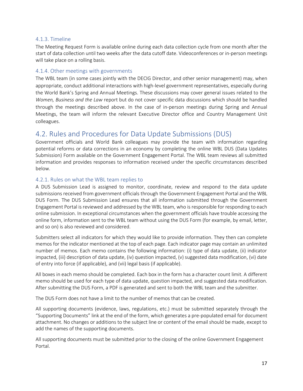### 4.1.3. Timeline

The Meeting Request Form is available online during each data collection cycle from one month after the start of data collection until two weeks after the data cutoff date. Videoconferences or in-person meetings will take place on a rolling basis.

### 4.1.4. Other meetings with governments

The WBL team (in some cases jointly with the DECIG Director, and other senior management) may, when appropriate, conduct additional interactions with high-level government representatives, especially during the World Bank's Spring and Annual Meetings. These discussions may cover general issues related to the *Women, Business and the Law* report but do not cover specific data discussions which should be handled through the meetings described above. In the case of in-person meetings during Spring and Annual Meetings, the team will inform the relevant Executive Director office and Country Management Unit colleagues.

# <span id="page-16-0"></span>4.2. Rules and Procedures for Data Update Submissions (DUS)

Government officials and World Bank colleagues may provide the team with information regarding potential reforms or data corrections in an economy by completing the online WBL DUS (Data Updates Submission) Form available on the Government Engagement Portal. The WBL team reviews all submitted information and provides responses to information received under the specific circumstances described below.

### 4.2.1. Rules on what the WBL team replies to

A DUS Submission Lead is assigned to monitor, coordinate, review and respond to the data update submissions received from government officials through the Government Engagement Portal and the WBL DUS Form. The DUS Submission Lead ensures that all information submitted through the Government Engagement Portal is reviewed and addressed by the WBL team, who is responsible for responding to each online submission. In exceptional circumstances when the government officials have trouble accessing the online form, information sent to the WBL team without using the DUS Form (for example, by email, letter, and so on) is also reviewed and considered.

Submitters select all indicators for which they would like to provide information. They then can complete memos for the indicator mentioned at the top of each page. Each indicator page may contain an unlimited number of memos. Each memo contains the following information: (i) type of data update, (ii) indicator impacted, (iii) description of data update, (iv) question impacted, (v) suggested data modification, (vi) date of entry into force (if applicable), and (vii) legal basis (if applicable).

All boxes in each memo should be completed. Each box in the form has a character count limit. A different memo should be used for each type of data update, question impacted, and suggested data modification. After submitting the DUS Form, a PDF is generated and sent to both the WBL team and the submitter.

The DUS Form does not have a limit to the number of memos that can be created.

All supporting documents (evidence, laws, regulations, etc.) must be submitted separately through the "Supporting Documents" link at the end of the form, which generates a pre-populated email for document attachment. No changes or additions to the subject line or content of the email should be made, except to add the names of the supporting documents.

All supporting documents must be submitted prior to the closing of the online Government Engagement Portal.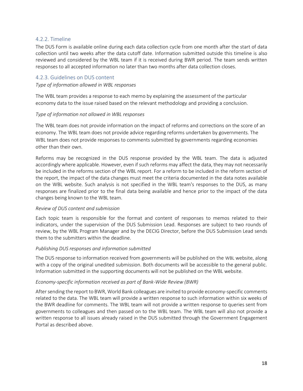### 4.2.2. Timeline

The DUS Form is available online during each data collection cycle from one month after the start of data collection until two weeks after the data cutoff date. Information submitted outside this timeline is also reviewed and considered by the WBL team if it is received during BWR period. The team sends written responses to all accepted information no later than two months after data collection closes.

### 4.2.3. Guidelines on DUS content

#### *Type of information allowed in WBL responses*

The WBL team provides a response to each memo by explaining the assessment of the particular economy data to the issue raised based on the relevant methodology and providing a conclusion.

### *Type of information not allowed in WBL responses*

The WBL team does not provide information on the impact of reforms and corrections on the score of an economy. The WBL team does not provide advice regarding reforms undertaken by governments. The WBL team does not provide responses to comments submitted by governments regarding economies other than their own.

Reforms may be recognized in the DUS response provided by the WBL team. The data is adjusted accordingly where applicable. However, even if such reforms may affect the data, they may not necessarily be included in the reforms section of the WBL report. For a reform to be included in the reform section of the report, the impact of the data changes must meet the criteria documented in the data notes available on the WBL website. Such analysis is not specified in the WBL team's responses to the DUS, as many responses are finalized prior to the final data being available and hence prior to the impact of the data changes being known to the WBL team.

### *Review of DUS content and submission*

Each topic team is responsible for the format and content of responses to memos related to their indicators, under the supervision of the DUS Submission Lead. Responses are subject to two rounds of review, by the WBL Program Manager and by the DECIG Director, before the DUS Submission Lead sends them to the submitters within the deadline.

### *Publishing DUS responses and information submitted*

The DUS response to information received from governments will be published on the WBL website, along with a copy of the original unedited submission. Both documents will be accessible to the general public. Information submitted in the supporting documents will not be published on the WBL website.

### *Economy-specific information received as part of Bank-Wide Review (BWR)*

After sending the report to BWR, World Bank colleagues are invited to provide economy-specific comments related to the data. The WBL team will provide a written response to such information within six weeks of the BWR deadline for comments. The WBL team will not provide a written response to queries sent from governments to colleagues and then passed on to the WBL team. The WBL team will also not provide a written response to all issues already raised in the DUS submitted through the Government Engagement Portal as described above.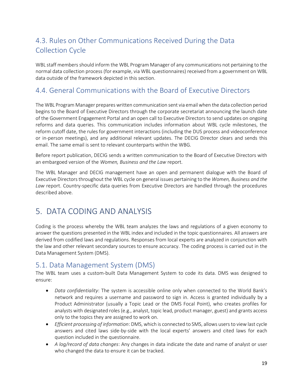# <span id="page-18-0"></span>4.3. Rules on Other Communications Received During the Data Collection Cycle

WBL staff members should inform the WBL Program Manager of any communications not pertaining to the normal data collection process (for example, via WBL questionnaires) received from a government on WBL data outside of the framework depicted in this section.

# <span id="page-18-1"></span>4.4. General Communications with the Board of Executive Directors

The WBL Program Manager prepares written communication sent via email when the data collection period begins to the Board of Executive Directors through the corporate secretariat announcing the launch date of the Government Engagement Portal and an open call to Executive Directors to send updates on ongoing reforms and data queries. This communication includes information about WBL cycle milestones, the reform cutoff date, the rules for government interactions (including the DUS process and videoconference or in-person meetings), and any additional relevant updates. The DECIG Director clears and sends this email. The same email is sent to relevant counterparts within the WBG.

Before report publication, DECIG sends a written communication to the Board of Executive Directors with an embargoed version of the *Women, Business and the Law* report.

The WBL Manager and DECIG management have an open and permanent dialogue with the Board of Executive Directors throughout the WBL cycle on general issues pertaining to the *Women, Business and the Law* report. Country-specific data queries from Executive Directors are handled through the procedures described above.

# <span id="page-18-2"></span>5. DATA CODING AND ANALYSIS

Coding is the process whereby the WBL team analyzes the laws and regulations of a given economy to answer the questions presented in the WBL index and included in the topic questionnaires. All answers are derived from codified laws and regulations. Responses from local experts are analyzed in conjunction with the law and other relevant secondary sources to ensure accuracy. The coding process is carried out in the Data Management System (DMS).

# <span id="page-18-3"></span>5.1. Data Management System (DMS)

The WBL team uses a custom-built Data Management System to code its data. DMS was designed to ensure:

- *Data confidentiality*: The system is accessible online only when connected to the World Bank's network and requires a username and password to sign in. Access is granted individually by a Product Administrator (usually a Topic Lead or the DMS Focal Point), who creates profiles for analysts with designated roles (e.g., analyst, topic lead, product manager, guest) and grants access only to the topics they are assigned to work on.
- *Efficient processing of information*: DMS, which is connected to SMS, allows users to view last cycle answers and cited laws side-by-side with the local experts' answers and cited laws for each question included in the questionnaire.
- *A log/record of data changes*: Any changes in data indicate the date and name of analyst or user who changed the data to ensure it can be tracked.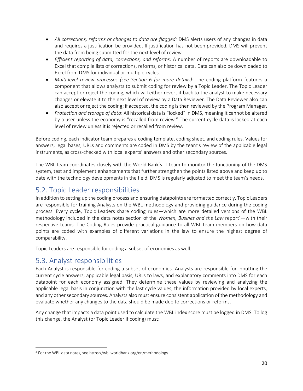- *All corrections, reforms or changes to data are flagged:* DMS alerts users of any changes in data and requires a justification be provided. If justification has not been provided, DMS will prevent the data from being submitted for the next level of review.
- *Efficient reporting of data, corrections, and reforms:* A number of reports are downloadable to Excel that compile lists of corrections, reforms, or historical data. Data can also be downloaded to Excel from DMS for individual or multiple cycles.
- *Multi-level review processes (see Section 6 for more details)*: The coding platform features a component that allows analysts to submit coding for review by a Topic Leader. The Topic Leader can accept or reject the coding, which will either revert it back to the analyst to make necessary changes or elevate it to the next level of review by a Data Reviewer. The Data Reviewer also can also accept or reject the coding; if accepted, the coding is then reviewed by the Program Manager.
- *Protection and storage of data*: All historical data is "locked" in DMS, meaning it cannot be altered by a user unless the economy is "recalled from review." The current cycle data is locked at each level of review unless it is rejected or recalled from review.

Before coding, each indicator team prepares a coding template, coding sheet, and coding rules. Values for answers, legal bases, URLs and comments are coded in DMS by the team's review of the applicable legal instruments, as cross-checked with local experts' answers and other secondary sources.

The WBL team coordinates closely with the World Bank's IT team to monitor the functioning of the DMS system, test and implement enhancements that further strengthen the points listed above and keep up to date with the technology developments in the field. DMS is regularly adjusted to meet the team's needs.

# <span id="page-19-0"></span>5.2. Topic Leader responsibilities

In addition to setting up the coding process and ensuring datapoints are formatted correctly, Topic Leaders are responsible for training Analysts on the WBL methodology and providing guidance during the coding process. Every cycle, Topic Leaders share coding rules—which are more detailed versions of the WBL methodology included in the data notes section of the *Women, Busines and the Law* report<sup>4</sup>—with their respective teams. The Coding Rules provide practical guidance to all WBL team members on how data points are coded with examples of different variations in the law to ensure the highest degree of comparability.

Topic Leaders are responsible for coding a subset of economies as well.

### <span id="page-19-1"></span>5.3. Analyst responsibilities

Each Analyst is responsible for coding a subset of economies. Analysts are responsible for inputting the current cycle answers, applicable legal basis, URLs to laws, and explanatory comments into DMS for each datapoint for each economy assigned. They determine these values by reviewing and analyzing the applicable legal basis in conjunction with the last cycle values, the information provided by local experts, and any other secondary sources. Analysts also must ensure consistent application of the methodology and evaluate whether any changes to the data should be made due to corrections or reforms.

Any change that impacts a data point used to calculate the WBL index score must be logged in DMS. To log this change, the Analyst (or Topic Leader if coding) must:

<sup>4</sup> For the WBL data notes, see https://wbl.worldbank.org/en/methodology.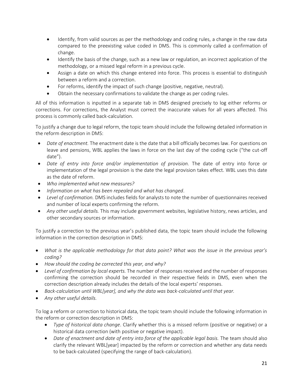- Identify, from valid sources as per the methodology and coding rules, a change in the raw data compared to the preexisting value coded in DMS. This is commonly called a confirmation of change.
- Identify the basis of the change, such as a new law or regulation, an incorrect application of the methodology, or a missed legal reform in a previous cycle.
- Assign a date on which this change entered into force. This process is essential to distinguish between a reform and a correction.
- For reforms, identify the impact of such change (positive, negative, neutral).
- Obtain the necessary confirmations to validate the change as per coding rules.

All of this information is inputted in a separate tab in DMS designed precisely to log either reforms or corrections. For corrections, the Analyst must correct the inaccurate values for all years affected. This process is commonly called back-calculation.

To justify a change due to legal reform, the topic team should include the following detailed information in the reform description in DMS:

- *Date of enactment.* The enactment date is the date that a bill officially becomes law. For questions on leave and pensions, WBL applies the laws in force on the last day of the coding cycle ("the cut-off date").
- *Date of entry into force and/or implementation of provision.* The date of entry into force or implementation of the legal provision is the date the legal provision takes effect. WBL uses this date as the date of reform.
- *Who implemented what new measures?*
- *Information on what has been repealed and what has changed*.
- *Level of confirmation.* DMS includes fields for analysts to note the number of questionnaires received and number of local experts confirming the reform.
- *Any other useful details.* This may include government websites, legislative history, news articles, and other secondary sources or information.

To justify a correction to the previous year's published data, the topic team should include the following information in the correction description in DMS:

- *What is the applicable methodology for that data point? What was the issue in the previous year's coding?*
- *How should the coding be corrected this year, and why?*
- *Level of confirmation by local experts.* The number of responses received and the number of responses confirming the correction should be recorded in their respective fields in DMS, even when the correction description already includes the details of the local experts' responses.
- *Back-calculation until WBL[year], and why the data was back-calculated until that year.*
- *Any other useful details.*

To log a reform or correction to historical data, the topic team should include the following information in the reform or correction description in DMS:

- *Type of historical data change*. Clarify whether this is a missed reform (positive or negative) or a historical data correction (with positive or negative impact).
- *Date of enactment and date of entry into force of the applicable legal basis.* The team should also clarify the relevant WBL[year] impacted by the reform or correction and whether any data needs to be back-calculated (specifying the range of back-calculation).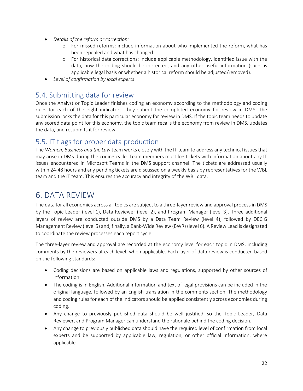- *Details of the reform or correction:*
	- o For missed reforms: include information about who implemented the reform, what has been repealed and what has changed.
	- o For historical data corrections: include applicable methodology, identified issue with the data, how the coding should be corrected, and any other useful information (such as applicable legal basis or whether a historical reform should be adjusted/removed).
- *Level of confirmation by local experts*

### <span id="page-21-0"></span>5.4. Submitting data for review

Once the Analyst or Topic Leader finishes coding an economy according to the methodology and coding rules for each of the eight indicators, they submit the completed economy for review in DMS. The submission locks the data for this particular economy for review in DMS. If the topic team needs to update any scored data point for this economy, the topic team recalls the economy from review in DMS, updates the data, and resubmits it for review.

# <span id="page-21-1"></span>5.5. IT flags for proper data production

The *Women, Business and the Law* team works closely with the IT team to address any technical issues that may arise in DMS during the coding cycle. Team members must log tickets with information about any IT issues encountered in Microsoft Teams in the DMS support channel. The tickets are addressed usually within 24-48 hours and any pending tickets are discussed on a weekly basis by representatives for the WBL team and the IT team. This ensures the accuracy and integrity of the WBL data.

# <span id="page-21-2"></span>6. DATA REVIEW

The data for all economies across all topics are subject to a three-layer review and approval process in DMS by the Topic Leader (level 1), Data Reviewer (level 2), and Program Manager (level 3). Three additional layers of review are conducted outside DMS by a Data Team Review (level 4), followed by DECIG Management Review (level 5) and, finally, a Bank-Wide Review (BWR) (level 6). A Review Lead is designated to coordinate the review processes each report cycle.

The three-layer review and approval are recorded at the economy level for each topic in DMS, including comments by the reviewers at each level, when applicable. Each layer of data review is conducted based on the following standards:

- Coding decisions are based on applicable laws and regulations, supported by other sources of information.
- The coding is in English. Additional information and text of legal provisions can be included in the original language, followed by an English translation in the comments section. The methodology and coding rules for each of the indicators should be applied consistently across economies during coding.
- Any change to previously published data should be well justified, so the Topic Leader, Data Reviewer, and Program Manager can understand the rationale behind the coding decision.
- Any change to previously published data should have the required level of confirmation from local experts and be supported by applicable law, regulation, or other official information, where applicable.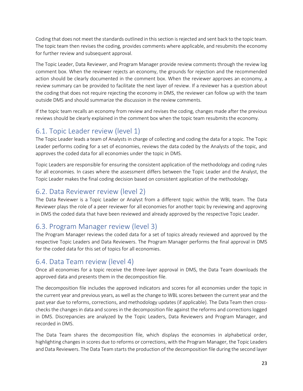Coding that does not meet the standards outlined in this section is rejected and sent back to the topic team. The topic team then revises the coding, provides comments where applicable, and resubmits the economy for further review and subsequent approval.

The Topic Leader, Data Reviewer, and Program Manager provide review comments through the review log comment box. When the reviewer rejects an economy, the grounds for rejection and the recommended action should be clearly documented in the comment box. When the reviewer approves an economy, a review summary can be provided to facilitate the next layer of review. If a reviewer has a question about the coding that does not require rejecting the economy in DMS, the reviewer can follow up with the team outside DMS and should summarize the discussion in the review comments.

If the topic team recalls an economy from review and revises the coding, changes made after the previous reviews should be clearly explained in the comment box when the topic team resubmits the economy.

# <span id="page-22-0"></span>6.1. Topic Leader review (level 1)

The Topic Leader leads a team of Analysts in charge of collecting and coding the data for a topic. The Topic Leader performs coding for a set of economies, reviews the data coded by the Analysts of the topic, and approves the coded data for all economies under the topic in DMS.

Topic Leaders are responsible for ensuring the consistent application of the methodology and coding rules for all economies. In cases where the assessment differs between the Topic Leader and the Analyst, the Topic Leader makes the final coding decision based on consistent application of the methodology.

# <span id="page-22-1"></span>6.2. Data Reviewer review (level 2)

The Data Reviewer is a Topic Leader or Analyst from a different topic within the WBL team. The Data Reviewer plays the role of a peer reviewer for all economies for another topic by reviewing and approving in DMS the coded data that have been reviewed and already approved by the respective Topic Leader.

# <span id="page-22-2"></span>6.3. Program Manager review (level 3)

The Program Manager reviews the coded data for a set of topics already reviewed and approved by the respective Topic Leaders and Data Reviewers. The Program Manager performs the final approval in DMS for the coded data for this set of topics for all economies.

# <span id="page-22-3"></span>6.4. Data Team review (level 4)

Once all economies for a topic receive the three-layer approval in DMS, the Data Team downloads the approved data and presents them in the decomposition file.

The decomposition file includes the approved indicators and scores for all economies under the topic in the current year and previous years, as well as the change to WBL scores between the current year and the past year due to reforms, corrections, and methodology updates (if applicable). The Data Team then crosschecks the changes in data and scores in the decomposition file against the reforms and corrections logged in DMS. Discrepancies are analyzed by the Topic Leaders, Data Reviewers and Program Manager, and recorded in DMS.

The Data Team shares the decomposition file, which displays the economies in alphabetical order, highlighting changes in scores due to reforms or corrections, with the Program Manager, the Topic Leaders and Data Reviewers. The Data Team starts the production of the decomposition file during the second layer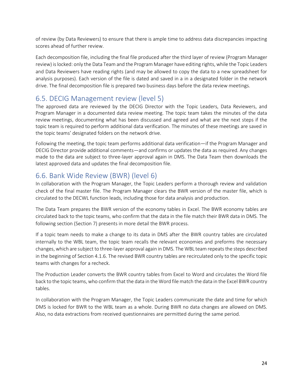of review (by Data Reviewers) to ensure that there is ample time to address data discrepancies impacting scores ahead of further review.

Each decomposition file, including the final file produced after the third layer of review (Program Manager review) is locked: only the Data Team and the Program Manager have editing rights, while the Topic Leaders and Data Reviewers have reading rights (and may be allowed to copy the data to a new spreadsheet for analysis purposes). Each version of the file is dated and saved in a in a designated folder in the network drive. The final decomposition file is prepared two business days before the data review meetings.

### <span id="page-23-0"></span>6.5. DECIG Management review (level 5)

The approved data are reviewed by the DECIG Director with the Topic Leaders, Data Reviewers, and Program Manager in a documented data review meeting. The topic team takes the minutes of the data review meetings, documenting what has been discussed and agreed and what are the next steps if the topic team is required to perform additional data verification. The minutes of these meetings are saved in the topic teams' designated folders on the network drive.

Following the meeting, the topic team performs additional data verification—if the Program Manager and DECIG Director provide additional comments—and confirms or updates the data as required. Any changes made to the data are subject to three-layer approval again in DMS. The Data Team then downloads the latest approved data and updates the final decomposition file.

# <span id="page-23-1"></span>6.6. Bank Wide Review (BWR) (level 6)

In collaboration with the Program Manager, the Topic Leaders perform a thorough review and validation check of the final master file. The Program Manager clears the BWR version of the master file, which is circulated to the DECWL function leads, including those for data analysis and production.

The Data Team prepares the BWR version of the economy tables in Excel. The BWR economy tables are circulated back to the topic teams, who confirm that the data in the file match their BWR data in DMS. The following section (Section 7) presents in more detail the BWR process.

If a topic team needs to make a change to its data in DMS after the BWR country tables are circulated internally to the WBL team, the topic team recalls the relevant economies and preforms the necessary changes, which are subject to three-layer approval again in DMS. The WBL team repeats the steps described in the beginning of Section 4.1.6. The revised BWR country tables are recirculated only to the specific topic teams with changes for a recheck.

The Production Leader converts the BWR country tables from Excel to Word and circulates the Word file back to the topic teams, who confirm that the data in the Word file match the data in the Excel BWR country tables.

In collaboration with the Program Manager, the Topic Leaders communicate the date and time for which DMS is locked for BWR to the WBL team as a whole. During BWR no data changes are allowed on DMS. Also, no data extractions from received questionnaires are permitted during the same period.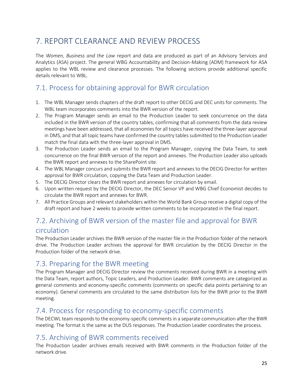# <span id="page-24-0"></span>7. REPORT CLEARANCE AND REVIEW PROCESS

The *Women, Business and the Law* report and data are produced as part of an Advisory Services and Analytics (ASA) project. The general WBG Accountability and Decision-Making (ADM) framework for ASA applies to the WBL review and clearance processes. The following sections provide additional specific details relevant to WBL*.* 

# <span id="page-24-1"></span>7.1. Process for obtaining approval for BWR circulation

- 1. The WBL Manager sends chapters of the draft report to other DECIG and DEC units for comments. The WBL team incorporates comments into the BWR version of the report.
- 2. The Program Manager sends an email to the Production Leader to seek concurrence on the data included in the BWR version of the country tables, confirming that all comments from the data review meetings have been addressed, that all economies for all topics have received the three-layer approval in DMS, and that all topic teams have confirmed the country tables submitted to the Production Leader match the final data with the three-layer approval in DMS.
- 3. The Production Leader sends an email to the Program Manager, copying the Data Team, to seek concurrence on the final BWR version of the report and annexes. The Production Leader also uploads the BWR report and annexes to the SharePoint site.
- 4. The WBL Manager concurs and submits the BWR report and annexes to the DECIG Director for written approval for BWR circulation, copying the Data Team and Production Leader.
- 5. The DECIG Director clears the BWR report and annexes for circulation by email.
- 6. Upon written request by the DECIG Director, the DEC Senior VP and WBG Chief Economist decides to circulate the BWR report and annexes for BWR.
- 7. All Practice Groups and relevant stakeholders within the World Bank Group receive a digital copy of the draft report and have 2 weeks to provide written comments to be incorporated in the final report.

# <span id="page-24-2"></span>7.2. Archiving of BWR version of the master file and approval for BWR circulation

The Production Leader archives the BWR version of the master file in the Production folder of the network drive. The Production Leader archives the approval for BWR circulation by the DECIG Director in the Production folder of the network drive.

# <span id="page-24-3"></span>7.3. Preparing for the BWR meeting

The Program Manager and DECIG Director review the comments received during BWR in a meeting with the Data Team, report authors, Topic Leaders, and Production Leader. BWR comments are categorized as general comments and economy-specific comments (comments on specific data points pertaining to an economy). General comments are circulated to the same distribution lists for the BWR prior to the BWR meeting.

### <span id="page-24-4"></span>7.4. Process for responding to economy-specific comments

The DECWL team responds to the economy-specific comments in a separate communication after the BWR meeting. The format is the same as the DUS responses. The Production Leader coordinates the process.

# <span id="page-24-5"></span>7.5. Archiving of BWR comments received

The Production Leader archives emails received with BWR comments in the Production folder of the network drive.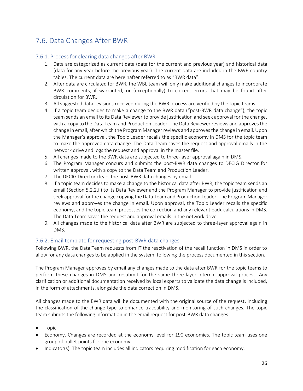# <span id="page-25-0"></span>7.6. Data Changes After BWR

### 7.6.1. Process for clearing data changes after BWR

- 1. Data are categorized as current data (data for the current and previous year) and historical data (data for any year before the previous year). The current data are included in the BWR country tables. The current data are hereinafter referred to as "BWR data".
- 2. After data are circulated for BWR, the WBL team will only make additional changes to incorporate BWR comments, if warranted, or (exceptionally) to correct errors that may be found after circulation for BWR.
- 3. All suggested data revisions received during the BWR process are verified by the topic teams.
- 4. If a topic team decides to make a change to the BWR data ("post-BWR data change"), the topic team sends an email to its Data Reviewer to provide justification and seek approval for the change, with a copy to the Data Team and Production Leader. The Data Reviewer reviews and approves the change in email, after which the Program Manager reviews and approves the change in email. Upon the Manager's approval, the Topic Leader recalls the specific economy in DMS for the topic team to make the approved data change. The Data Team saves the request and approval emails in the network drive and logs the request and approval in the master file.
- 5. All changes made to the BWR data are subjected to three-layer approval again in DMS.
- 6. The Program Manager concurs and submits the post-BWR data changes to DECIG Director for written approval, with a copy to the Data Team and Production Leader.
- 7. The DECIG Director clears the post-BWR data changes by email.
- 8. If a topic team decides to make a change to the historical data after BWR, the topic team sends an email (Section 5.2.2.ii) to its Data Reviewer and the Program Manager to provide justification and seek approval for the change copying the Data Team and Production Leader. The Program Manager reviews and approves the change in email. Upon approval, the Topic Leader recalls the specific economy, and the topic team processes the correction and any relevant back-calculations in DMS. The Data Team saves the request and approval emails in the network drive.
- 9. All changes made to the historical data after BWR are subjected to three-layer approval again in DMS.

### 7.6.2. Email template for requesting post-BWR data changes

Following BWR, the Data Team requests from IT the reactivation of the recall function in DMS in order to allow for any data changes to be applied in the system, following the process documented in this section.

The Program Manager approves by email any changes made to the data after BWR for the topic teams to perform these changes in DMS and resubmit for the same three-layer internal approval process. Any clarification or additional documentation received by local experts to validate the data change is included, in the form of attachments, alongside the data correction in DMS.

All changes made to the BWR data will be documented with the original source of the request, including the classification of the change type to enhance traceability and monitoring of such changes. The topic team submits the following information in the email request for post-BWR data changes:

- Topic
- Economy. Changes are recorded at the economy level for 190 economies. The topic team uses one group of bullet points for one economy.
- Indicator(s). The topic team includes all indicators requiring modification for each economy.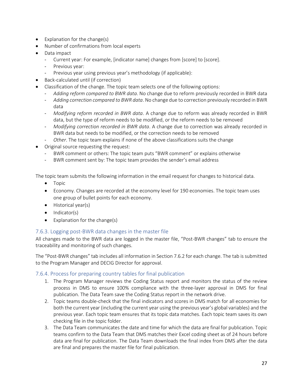- Explanation for the change(s)
- Number of confirmations from local experts
- Data impact
	- Current year: For example, [indicator name] changes from [score] to [score].
	- Previous year:
	- Previous year using previous year's methodology (if applicable):
- Back-calculated until (if correction)
- Classification of the change. The topic team selects one of the following options:
	- *Adding reform compared to BWR data*. No change due to reform previously recorded in BWR data
		- *Adding correction compared to BWR data*. No change due to correction previously recorded in BWR data
		- *Modifying reform recorded in BWR data*. A change due to reform was already recorded in BWR data, but the type of reform needs to be modified, or the reform needs to be removed
	- *Modifying correction recorded in BWR data*. A change due to correction was already recorded in BWR data but needs to be modified, or the correction needs to be removed
	- *Other*. The topic team explains if none of the above classifications suits the change
- Original source requesting the request:
	- BWR comment or others: The topic team puts "BWR comment" or explains otherwise
	- BWR comment sent by: The topic team provides the sender's email address

The topic team submits the following information in the email request for changes to historical data.

- Topic
- Economy. Changes are recorded at the economy level for 190 economies. The topic team uses one group of bullet points for each economy.
- Historical year(s)
- Indicator(s)
- Explanation for the change(s)

### 7.6.3. Logging post-BWR data changes in the master file

All changes made to the BWR data are logged in the master file, "Post-BWR changes" tab to ensure the traceability and monitoring of such changes.

The "Post-BWR changes" tab includes all information in Section 7.6.2 for each change. The tab is submitted to the Program Manager and DECIG Director for approval.

### 7.6.4. Process for preparing country tables for final publication

- 1. The Program Manager reviews the Coding Status report and monitors the status of the review process in DMS to ensure 100% compliance with the three-layer approval in DMS for final publication. The Data Team save the Coding Status report in the network drive.
- 2. Topic teams double-check that the final indicators and scores in DMS match for all economies for both the current year (including the current year using the previous year's global variables) and the previous year. Each topic team ensures that its topic data matches. Each topic team saves its own checking file in the topic folder.
- 3. The Data Team communicates the date and time for which the data are final for publication. Topic teams confirm to the Data Team that DMS matches their Excel coding sheet as of 24 hours before data are final for publication. The Data Team downloads the final index from DMS after the data are final and prepares the master file for final publication.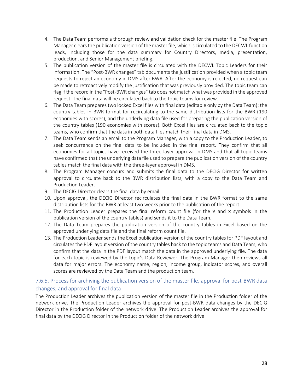- 4. The Data Team performs a thorough review and validation check for the master file. The Program Manager clears the publication version of the master file, which is circulated to the DECWL function leads, including those for the data summary for Country Directors, media, presentation, production, and Senior Management briefing.
- 5. The publication version of the master file is circulated with the DECWL Topic Leaders for their information. The "Post-BWR changes" tab documents the justification provided when a topic team requests to reject an economy in DMS after BWR. After the economy is rejected, no request can be made to retroactively modify the justification that was previously provided. The topic team can flag if the record in the "Post-BWR changes" tab does not match what was provided in the approved request. The final data will be circulated back to the topic teams for review.
- 6. The Data Team prepares two locked Excel files with final data (editable only by the Data Team): the country tables in BWR format for recirculating to the same distribution lists for the BWR (190 economies with scores), and the underlying data file used for preparing the publication version of the country tables (190 economies with scores). Both Excel files are circulated back to the topic teams, who confirm that the data in both data files match their final data in DMS.
- 7. The Data Team sends an email to the Program Manager, with a copy to the Production Leader, to seek concurrence on the final data to be included in the final report. They confirm that all economies for all topics have received the three-layer approval in DMS and that all topic teams have confirmed that the underlying data file used to prepare the publication version of the country tables match the final data with the three-layer approval in DMS.
- 8. The Program Manager concurs and submits the final data to the DECIG Director for written approval to circulate back to the BWR distribution lists, with a copy to the Data Team and Production Leader.
- 9. The DECIG Director clears the final data by email.
- 10. Upon approval, the DECIG Director recirculates the final data in the BWR format to the same distribution lists for the BWR at least two weeks prior to the publication of the report.
- 11. The Production Leader prepares the final reform count file (for the  $\sqrt{ }$  and  $\times$  symbols in the publication version of the country tables) and sends it to the Data Team.
- 12. The Data Team prepares the publication version of the country tables in Excel based on the approved underlying data file and the final reform count file.
- 13. The Production Leader sends the Excel publication version of the country tables for PDF layout and circulates the PDF layout version of the country tables back to the topic teams and Data Team, who confirm that the data in the PDF layout match the data in the approved underlying file. The data for each topic is reviewed by the topic's Data Reviewer. The Program Manager then reviews all data for major errors. The economy name, region, income group, indicator scores, and overall scores are reviewed by the Data Team and the production team.

### 7.6.5. Process for archiving the publication version of the master file, approval for post-BWR data changes, and approval for final data

The Production Leader archives the publication version of the master file in the Production folder of the network drive. The Production Leader archives the approval for post-BWR data changes by the DECIG Director in the Production folder of the network drive. The Production Leader archives the approval for final data by the DECIG Director in the Production folder of the network drive.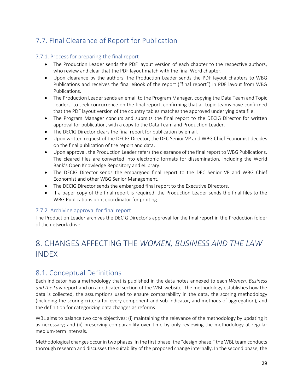# <span id="page-28-0"></span>7.7. Final Clearance of Report for Publication

### 7.7.1. Process for preparing the final report

- The Production Leader sends the PDF layout version of each chapter to the respective authors, who review and clear that the PDF layout match with the final Word chapter.
- Upon clearance by the authors, the Production Leader sends the PDF layout chapters to WBG Publications and receives the final eBook of the report ("final report") in PDF layout from WBG Publications.
- The Production Leader sends an email to the Program Manager, copying the Data Team and Topic Leaders, to seek concurrence on the final report, confirming that all topic teams have confirmed that the PDF layout version of the country tables matches the approved underlying data file.
- The Program Manager concurs and submits the final report to the DECIG Director for written approval for publication, with a copy to the Data Team and Production Leader.
- The DECIG Director clears the final report for publication by email.
- Upon written request of the DECIG Director, the DEC Senior VP and WBG Chief Economist decides on the final publication of the report and data.
- Upon approval, the Production Leader refers the clearance of the final report to WBG Publications. The cleared files are converted into electronic formats for dissemination, including the World Bank's Open Knowledge Repository and eLibrary.
- The DECIG Director sends the embargoed final report to the DEC Senior VP and WBG Chief Economist and other WBG Senior Management.
- The DECIG Director sends the embargoed final report to the Executive Directors.
- If a paper copy of the final report is required, the Production Leader sends the final files to the WBG Publications print coordinator for printing.

### 7.7.2. Archiving approval for final report

The Production Leader archives the DECIG Director's approval for the final report in the Production folder of the network drive.

# <span id="page-28-1"></span>8. CHANGES AFFECTING THE *WOMEN, BUSINESS AND THE LAW* INDEX

### <span id="page-28-2"></span>8.1. Conceptual Definitions

Each indicator has a methodology that is published in the data notes annexed to each *Women, Business and the Law* report and on a dedicated section of the WBL website. The methodology establishes how the data is collected, the assumptions used to ensure comparability in the data, the scoring methodology (including the scoring criteria for every component and sub-indicator, and methods of aggregation), and the definition for categorizing data changes as reforms.

WBL aims to balance two core objectives: (i) maintaining the relevance of the methodology by updating it as necessary; and (ii) preserving comparability over time by only reviewing the methodology at regular medium-term intervals.

Methodological changes occur in two phases. In the first phase, the "design phase," the WBL team conducts thorough research and discusses the suitability of the proposed change internally. In the second phase, the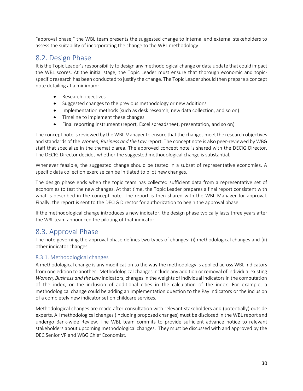"approval phase," the WBL team presents the suggested change to internal and external stakeholders to assess the suitability of incorporating the change to the WBL methodology.

### <span id="page-29-0"></span>8.2. Design Phase

It is the Topic Leader's responsibility to design any methodological change or data update that could impact the WBL scores. At the initial stage, the Topic Leader must ensure that thorough economic and topicspecific research has been conducted to justify the change. The Topic Leader should then prepare a concept note detailing at a minimum:

- Research objectives
- Suggested changes to the previous methodology or new additions
- Implementation methods (such as desk research, new data collection, and so on)
- Timeline to implement these changes
- Final reporting instrument (report, Excel spreadsheet, presentation, and so on)

The concept note is reviewed by the WBL Manager to ensure that the changes meet the research objectives and standards of the *Women, Business and the Law* report. The concept note is also peer-reviewed by WBG staff that specialize in the thematic area. The approved concept note is shared with the DECIG Director. The DECIG Director decides whether the suggested methodological change is substantial.

Whenever feasible, the suggested change should be tested in a subset of representative economies. A specific data collection exercise can be initiated to pilot new changes.

The design phase ends when the topic team has collected sufficient data from a representative set of economies to test the new changes. At that time, the Topic Leader prepares a final report consistent with what is described in the concept note. The report is then shared with the WBL Manager for approval. Finally, the report is sent to the DECIG Director for authorization to begin the approval phase.

If the methodological change introduces a new indicator, the design phase typically lasts three years after the WBL team announced the piloting of that indicator.

### <span id="page-29-1"></span>8.3. Approval Phase

The note governing the approval phase defines two types of changes: (i) methodological changes and (ii) other indicator changes.

### 8.3.1. Methodological changes

A methodological change is any modification to the way the methodology is applied across WBL indicators from one edition to another. Methodological changes include any addition or removal of individual existing *Women, Business and the Law* indicators, changes in the weights of individual indicators in the computation of the index, or the inclusion of additional cities in the calculation of the index. For example, a methodological change could be adding an implementation question to the Pay indicators or the inclusion of a completely new indicator set on childcare services.

Methodological changes are made after consultation with relevant stakeholders and (potentially) outside experts. All methodological changes (including proposed changes) must be disclosed in the WBL report and undergo Bank-wide Review. The WBL team commits to provide sufficient advance notice to relevant stakeholders about upcoming methodological changes. They must be discussed with and approved by the DEC Senior VP and WBG Chief Economist.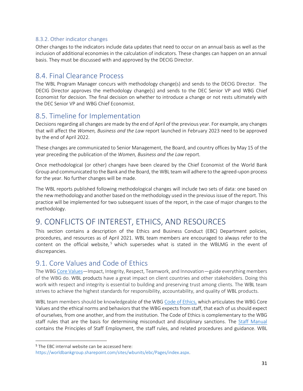### 8.3.2. Other indicator changes

Other changes to the indicators include data updates that need to occur on an annual basis as well as the inclusion of additional economies in the calculation of indicators. These changes can happen on an annual basis. They must be discussed with and approved by the DECIG Director.

### <span id="page-30-0"></span>8.4. Final Clearance Process

The WBL Program Manager concurs with methodology change(s) and sends to the DECIG Director. The DECIG Director approves the methodology change(s) and sends to the DEC Senior VP and WBG Chief Economist for decision. The final decision on whether to introduce a change or not rests ultimately with the DEC Senior VP and WBG Chief Economist.

### <span id="page-30-1"></span>8.5. Timeline for Implementation

Decisions regarding all changes are made by the end of April of the previous year. For example, any changes that will affect the *Women, Business and the Law* report launched in February 2023 need to be approved by the end of April 2022.

These changes are communicated to Senior Management, the Board, and country offices by May 15 of the year preceding the publication of the *Women, Business and the Law* report.

Once methodological (or other) changes have been cleared by the Chief Economist of the World Bank Group and communicated to the Bank and the Board, the WBL team will adhere to the agreed-upon process for the year. No further changes will be made.

The WBL reports published following methodological changes will include two sets of data: one based on the new methodology and another based on the methodology used in the previous issue of the report. This practice will be implemented for two subsequent issues of the report, in the case of major changes to the methodology.

# <span id="page-30-2"></span>9. CONFLICTS OF INTEREST, ETHICS, AND RESOURCES

This section contains a description of the Ethics and Business Conduct (EBC) Department policies, procedures, and resources as of April 2021. WBL team members are encouraged to always refer to the content on the official website,<sup>5</sup> which supersedes what is stated in the WBLMG in the event of discrepancies.

# <span id="page-30-3"></span>9.1. Core Values and Code of Ethics

The WB[G Core Values](https://worldbankgroup.sharepoint.com/sites/wbunits/EBC/Pages/WBGCoreValues-10182018-223034.aspx)-Impact, Integrity, Respect, Teamwork, and Innovation-guide everything members of the WBG do. WBL products have a great impact on client countries and other stakeholders. Doing this work with respect and integrity is essential to building and preserving trust among clients. The WBL team strives to achieve the highest standards for responsibility, accountability, and quality of WBL products.

WBL team members should be knowledgeable of the WBG [Code of Ethics,](https://worldbankgroup.sharepoint.com/sites/wbunits/EBC/Documents/WBG%20Code%20of%20Ethics/WBG%20Code%20of%20Ethics.pdf) which articulates the WBG Core Values and the ethical norms and behaviors that the WBG expects from staff, that each of us should expect of ourselves, from one another, and from the institution. The Code of Ethics is complementary to the WBG staff rules that are the basis for determining misconduct and disciplinary sanctions. The [Staff Manual](https://worldbankgroup.sharepoint.com/sites/hr/Pages/Services/Staff-Manual-03092018-125052.aspx) contains the Principles of Staff Employment, the staff rules, and related procedures and guidance. WBL

<sup>&</sup>lt;sup>5</sup> The EBC internal website can be accessed here:

[https://worldbankgroup.sharepoint.com/sites/wbunits/ebc/Pages/index.aspx.](https://worldbankgroup.sharepoint.com/sites/wbunits/ebc/Pages/index.aspx)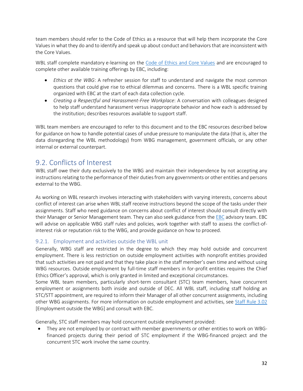team members should refer to the Code of Ethics as a resource that will help them incorporate the Core Values in what they do and to identify and speak up about conduct and behaviors that are inconsistent with the Core Values.

WBL staff complete mandatory e-learning on the [Code of Ethics and Core Values](https://olc.worldbank.org/content/ebc-our-core-values-and-code-ethics) and are encouraged to complete other available training offerings by EBC, including:

- *Ethics at the WBG*: A refresher session for staff to understand and navigate the most common questions that could give rise to ethical dilemmas and concerns. There is a WBL specific training organized with EBC at the start of each data collection cycle.
- *Creating a Respectful and Harassment-Free Workplace*: A conversation with colleagues designed to help staff understand harassment versus inappropriate behavior and how each is addressed by the institution; describes resources available to support staff.

WBL team members are encouraged to refer to this document and to the EBC resources described below for guidance on how to handle potential cases of undue pressure to manipulate the data (that is, alter the data disregarding the WBL methodology) from WBG management, government officials, or any other internal or external counterpart.

### <span id="page-31-0"></span>9.2. Conflicts of Interest

WBL staff owe their duty exclusively to the WBG and maintain their independence by not accepting any instructions relating to the performance of their duties from any governments or other entities and persons external to the WBG.

As working on WBL research involves interacting with stakeholders with varying interests, concerns about conflict of interest can arise when WBL staff receive instructions beyond the scope of the tasks under their assignments. Staff who need guidance on concerns about conflict of interest should consult directly with their Manager or Senior Management team. They can also seek guidance from the [EBC](https://worldbankgroup.sharepoint.com/sites/wbunits/EBC/Pages/pc/Services-10182018-105547/Ethics-Advisory-10222018-185121.aspx) advisory team. EBC will advise on applicable WBG staff rules and policies, work together with staff to assess the conflict-ofinterest risk or reputation risk to the WBG, and provide guidance on how to proceed.

### 9.2.1. Employment and activities outside the WBL unit

Generally, WBG staff are restricted in the degree to which they may hold outside and concurrent employment. There is less restriction on outside employment activities with nonprofit entities provided that such activities are not paid and that they take place in the staff member's own time and without using WBG resources. Outside employment by full-time staff members in for-profit entities requires the Chief Ethics Officer's approval, which is only granted in limited and exceptional circumstances.

Some WBL team members, particularly short-term consultant (STC) team members, have concurrent employment or assignments both inside and outside of DEC. All WBL staff, including staff holding an STC/STT appointment, are required to inform their Manager of all other concurrent assignments, including other WBG assignments. For more information on outside employment and activities, see [Staff Rule 3.02](https://worldbankgroup.sharepoint.com/sites/ppfonline/PPFDocuments/4241f2b3a12648c19ab33009793e20ca.pdf) [Employment outside the WBG] and consult with EBC.

Generally, STC staff members may hold concurrent outside employment provided:

• They are not employed by or contract with member governments or other entities to work on WBGfinanced projects during their period of STC employment if the WBG-financed project and the concurrent STC work involve the same country.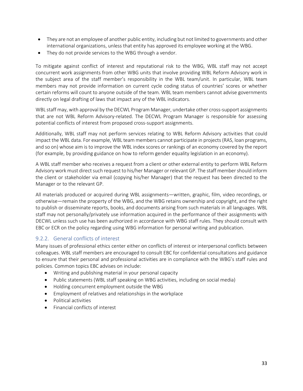- They are not an employee of another public entity, including but not limited to governments and other international organizations, unless that entity has approved its employee working at the WBG.
- They do not provide services to the WBG through a vendor.

To mitigate against conflict of interest and reputational risk to the WBG, WBL staff may not accept concurrent work assignments from other WBG units that involve providing WBL Reform Advisory work in the subject area of the staff member's responsibility in the WBL team/unit. In particular, WBL team members may not provide information on current cycle coding status of countries' scores or whether certain reforms will count to anyone outside of the team. WBL team members cannot advise governments directly on legal drafting of laws that impact any of the WBL indicators.

WBL staff may, with approval by the DECWL Program Manager, undertake other cross-support assignments that are not WBL Reform Advisory-related. The DECWL Program Manager is responsible for assessing potential conflicts of interest from proposed cross-support assignments.

Additionally, WBL staff may not perform services relating to WBL Reform Advisory activities that could impact the WBL data. For example, WBL team members cannot participate in projects (RAS, loan programs, and so on) whose aim is to improve the WBL index scores or rankings of an economy covered by the report (for example, by providing guidance on how to reform gender equality legislation in an economy).

A WBL staff member who receives a request from a client or other external entity to perform WBL Reform Advisory work must direct such request to his/her Manager or relevant GP. The staff member should inform the client or stakeholder via email (copying his/her Manager) that the request has been directed to the Manager or to the relevant GP.

All materials produced or acquired during WBL assignments—written, graphic, film, video recordings, or otherwise—remain the property of the WBG, and the WBG retains ownership and copyright, and the right to publish or disseminate reports, books, and documents arising from such materials in all languages. WBL staff may not personally/privately use information acquired in the performance of their assignments with DECWL unless such use has been authorized in accordance with WBG staff rules. They should consult with EBC or ECR on the policy regarding using WBG information for personal writing and publication.

### 9.2.2. General conflicts of interest

Many issues of professional ethics center either on conflicts of interest or interpersonal conflicts between colleagues. WBL staff members are encouraged to consult EBC for confidential consultations and guidance to ensure that their personal and professional activities are in compliance with the WBG's staff rules and policies. Common topics EBC advises on include:

- Writing and publishing material in your personal capacity
- Public statements (WBL staff speaking on WBG activities, including on social media)
- Holding concurrent employment outside the WBG
- Employment of relatives and relationships in the workplace
- Political activities
- Financial conflicts of interest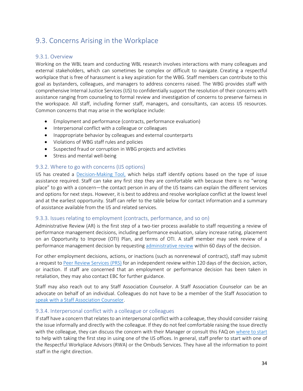# <span id="page-33-0"></span>9.3. Concerns Arising in the Workplace

### 9.3.1. Overview

Working on the WBL team and conducting WBL research involves interactions with many colleagues and external stakeholders, which can sometimes be complex or difficult to navigate. Creating a respectful workplace that is free of harassment is a key aspiration for the WBG. Staff members can contribute to this goal as bystanders, colleagues, and managers to address concerns raised. The WBG provides staff with comprehensive Internal Justice Services (IJS) to confidentially support the resolution of their concerns with assistance ranging from counseling to formal review and investigation of concerns to preserve fairness in the workspace. All staff, including former staff, managers, and consultants, can access IJS resources. Common concerns that may arise in the workplace include:

- Employment and performance (contracts, performance evaluation)
- Interpersonal conflict with a colleague or colleagues
- Inappropriate behavior by colleagues and external counterparts
- Violations of WBG staff rules and policies
- Suspected fraud or corruption in WBG projects and activities
- Stress and mental well-being

### 9.3.2. Where to go with concerns (IJS options)

IJS has created a [Decision-Making](https://worldbankgroup.sharepoint.com/sites/wbunits/ijs/Pages/pc/DECISION-MAKING-TOOL-10102018-171701/DECISION-MAKING-10102018-171726.aspx) Tool, which helps staff identify options based on the type of issue assistance required. Staff can take any first step they are comfortable with because there is no "wrong place" to go with a concern—the contact person in any of the IJS teams can explain the different services and options for next steps. However, it is best to address and resolve workplace conflict at the lowest level and at the earliest opportunity. Staff can refer to the table below for contact information and a summary of assistance available from the IJS and related services.

### 9.3.3. Issues relating to employment (contracts, performance, and so on)

Administrative Review (AR) is the first step of a two-tier process available to staff requesting a review of performance management decisions, including performance evaluation, salary increase rating, placement on an Opportunity to Improve (OTI) Plan, and terms of OTI. A staff member may seek review of a performance management decision by requesting administrative review within 60 days of the decision.

For other employment decisions, actions, or inactions (such as nonrenewal of contract), staff may submit a request to [Peer Review Services](file://///DECFILE2/DECIG/DOING%20BUSINESS/DB%20Manual/Drafts/Consolidated%20document/Peer%20Review%20Services) (PRS) for an independent review within 120 days of the decision, action, or inaction. If staff are concerned that an employment or performance decision has been taken in retaliation, they may also contact EBC for further guidance.

Staff may also reach out to any Staff Association Counselor. A Staff Association Counselor can be an advocate on behalf of an individual. Colleagues do not have to be a member of the Staff Association to [speak with a Staff Association Counselor.](https://worldbankgroup.sharepoint.com/sites/wbsites/staff-association/Pages/Staff-Relations-Counselors-06162020-125634.aspx)

### 9.3.4. Interpersonal conflict with a colleague or colleagues

If staff have a concern that relates to an interpersonal conflict with a colleague, they should consider raising the issue informally and directly with the colleague. If they do not feel comfortable raising the issue directly with the colleague, they can discuss the concern with their Manager or consult this FAQ on [where to start](https://worldbankgroup.sharepoint.com/sites/wbunits/ijs/Pages/pc/FAQ-Tools-10102018-165649/FAQs-10102018-165744.aspx) to help with taking the first step in using one of the IJS offices. In general, staff prefer to start with one of the Respectful Workplace Advisors (RWA) or the Ombuds Services. They have all the information to point staff in the right direction.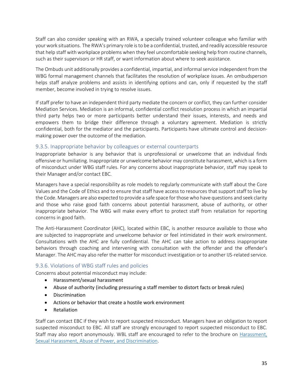Staff can also consider speaking with an RWA, a specially trained volunteer colleague who familiar with your work situations. The RWA's primary role is to be a confidential, trusted, and readily accessible resource that help staff with workplace problems when they feel uncomfortable seeking help from routine channels, such as their supervisors or HR staff, or want information about where to seek assistance.

The Ombuds unit additionally provides a confidential, impartial, and informal service independent from the WBG formal management channels that facilitates the resolution of workplace issues. An ombudsperson helps staff analyze problems and assists in identifying options and can, only if requested by the staff member, become involved in trying to resolve issues.

If staff prefer to have an independent third party mediate the concern or conflict, they can further consider Mediation Services. Mediation is an informal, confidential conflict resolution process in which an impartial third party helps two or more participants better understand their issues, interests, and needs and empowers them to bridge their difference through a voluntary agreement. Mediation is strictly confidential, both for the mediator and the participants. Participants have ultimate control and decisionmaking power over the outcome of the mediation.

### 9.3.5. Inappropriate behavior by colleagues or external counterparts

Inappropriate behavior is any behavior that is unprofessional or unwelcome that an individual finds offensive or humiliating. Inappropriate or unwelcome behavior may constitute harassment, which is a form of misconduct under WBG staff rules. For any concerns about inappropriate behavior, staff may speak to their Manager and/or contact EBC.

Managers have a special responsibility as role models to regularly communicate with staff about the Core Values and the Code of Ethics and to ensure that staff have access to resources that support staff to live by the Code. Managers are also expected to provide a safe space for those who have questions and seek clarity and those who raise good faith concerns about potential harassment, abuse of authority, or other inappropriate behavior. The WBG will make every effort to protect staff from retaliation for reporting concerns in good faith.

The Anti-Harassment Coordinator (AHC), located within EBC, is another resource available to those who are subjected to inappropriate and unwelcome behavior or feel intimidated in their work environment. Consultations with the AHC are fully confidential. The AHC can take action to address inappropriate behaviors through coaching and intervening with consultation with the offender and the offender's Manager. The AHC may also refer the matter for misconduct investigation or to another IJS-related service.

### 9.3.6. Violations of WBG staff rules and policies

Concerns about potential misconduct may include:

- Harassment/sexual harassment
- Abuse of authority (including pressuring a staff member to distort facts or break rules)
- Discrimination
- Actions or behavior that create a hostile work environment
- Retaliation

Staff can contact EBC if they wish to report suspected misconduct. Managers have an obligation to report suspected misconduct to EBC. All staff are strongly encouraged to report suspected misconduct to EBC. Staff may also report anonymously. WBL staff are encouraged to refer to the brochure on [Harassment,](https://worldbankgroup.sharepoint.com/sites/wbunits/EBC/Pages/SitePages/Brochures-10222018-064713.aspx)  [Sexual Harassment, Abuse of Power, and Discrimination.](https://worldbankgroup.sharepoint.com/sites/wbunits/EBC/Pages/SitePages/Brochures-10222018-064713.aspx)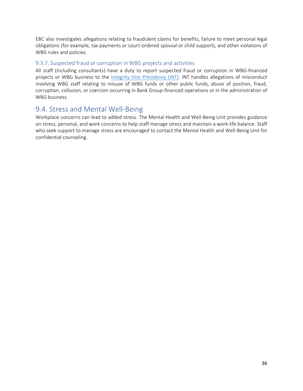EBC also investigates allegations relating to fraudulent claims for benefits, failure to meet personal legal obligations (for example, tax payments or court-ordered spousal or child support), and other violations of WBG rules and policies.

### 9.3.7. Suspected fraud or corruption in WBG projects and activities

All staff (including consultants) have a duty to report suspected fraud or corruption in WBG-financed projects or WBG business to the [Integrity Vice Presidency \(INT\).](https://worldbankgroup.sharepoint.com/sites/wbunits/INT/Pages/index.aspx) INT handles allegations of misconduct involving WBG staff relating to misuse of WBG funds or other public funds, abuse of position, fraud, corruption, collusion, or coercion occurring in Bank Group-financed operations or in the administration of WBG business

### <span id="page-35-0"></span>9.4. Stress and Mental Well-Being

Workplace concerns can lead to added stress. The Mental Health and Well-Being Unit provides guidance on stress, personal, and work concerns to help staff manage stress and maintain a work-life balance. Staff who seek support to manage stress are encouraged to contact the Mental Health and Well-Being Unit for confidential counseling.